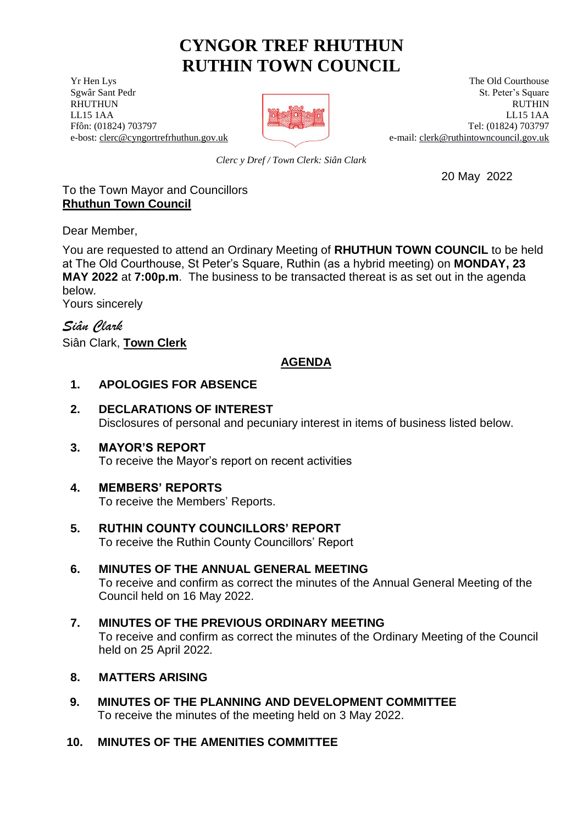# **CYNGOR TREF RHUTHUN RUTHIN TOWN COUNCIL**

**The Old Courthouse** The Old Courthouse The Old Courthouse



Sex Sant Pedr St. Peter's Square St. Peter's Square St. Peter's Square RHUTHUN RUTHIN LL15 1AA LL15 1AA Ffôn: (01824) 703797 Tel: (01824) 703797 e-bost[: clerc@cyngortrefrhuthun.gov.uk](mailto:clerc@cyngortrefrhuthun.gov.uk) e-mail: [clerk@ruthintowncouncil.gov.uk](mailto:clerk@ruthintowncouncil.gov.uk)

*Clerc y Dref / Town Clerk: Siân Clark*

20 May 2022

#### To the Town Mayor and Councillors **Rhuthun Town Council**

Dear Member,

You are requested to attend an Ordinary Meeting of **RHUTHUN TOWN COUNCIL** to be held at The Old Courthouse, St Peter's Square, Ruthin (as a hybrid meeting) on **MONDAY, 23 MAY 2022** at **7:00p.m**. The business to be transacted thereat is as set out in the agenda below.

Yours sincerely

*Siân Clark* Siân Clark, **Town Clerk**

# **AGENDA**

## **1. APOLOGIES FOR ABSENCE**

# **2. DECLARATIONS OF INTEREST**

Disclosures of personal and pecuniary interest in items of business listed below.

## **3. MAYOR'S REPORT**

To receive the Mayor's report on recent activities

## **4. MEMBERS' REPORTS**

To receive the Members' Reports.

**5. RUTHIN COUNTY COUNCILLORS' REPORT** To receive the Ruthin County Councillors' Report

#### **6. MINUTES OF THE ANNUAL GENERAL MEETING** To receive and confirm as correct the minutes of the Annual General Meeting of the Council held on 16 May 2022.

## **7. MINUTES OF THE PREVIOUS ORDINARY MEETING** To receive and confirm as correct the minutes of the Ordinary Meeting of the Council held on 25 April 2022*.*

## **8. MATTERS ARISING**

**9. MINUTES OF THE PLANNING AND DEVELOPMENT COMMITTEE** To receive the minutes of the meeting held on 3 May 2022.

## **10. MINUTES OF THE AMENITIES COMMITTEE**